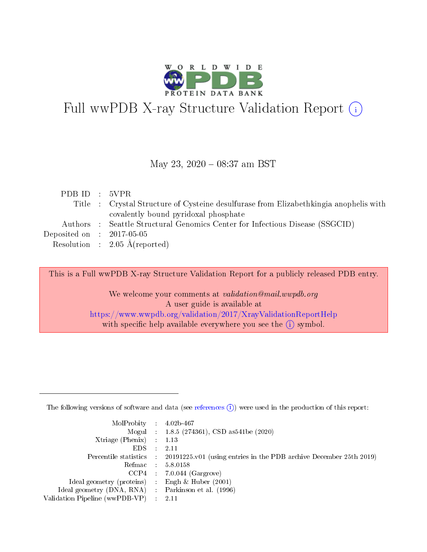

# Full wwPDB X-ray Structure Validation Report (i)

#### May 23, 2020 - 08:37 am BST

| PDBID : 5VPR                |                                                                                       |
|-----------------------------|---------------------------------------------------------------------------------------|
|                             | Title : Crystal Structure of Cysteine desulfurase from Elizabethkingia anophelis with |
|                             | covalently bound pyridoxal phosphate                                                  |
|                             | Authors : Seattle Structural Genomics Center for Infectious Disease (SSGCID)          |
| Deposited on : $2017-05-05$ |                                                                                       |
|                             | Resolution : $2.05 \text{ Å}$ (reported)                                              |
|                             |                                                                                       |

This is a Full wwPDB X-ray Structure Validation Report for a publicly released PDB entry.

We welcome your comments at validation@mail.wwpdb.org A user guide is available at <https://www.wwpdb.org/validation/2017/XrayValidationReportHelp> with specific help available everywhere you see the  $(i)$  symbol.

The following versions of software and data (see [references](https://www.wwpdb.org/validation/2017/XrayValidationReportHelp#references)  $(1)$ ) were used in the production of this report:

| $MolProbability$ : 4.02b-467                       |               |                                                                                            |
|----------------------------------------------------|---------------|--------------------------------------------------------------------------------------------|
|                                                    |               | Mogul : $1.8.5$ (274361), CSD as 541be (2020)                                              |
| Xtriage (Phenix) $: 1.13$                          |               |                                                                                            |
| EDS.                                               | $\mathcal{L}$ | -2.11                                                                                      |
|                                                    |               | Percentile statistics : 20191225.v01 (using entries in the PDB archive December 25th 2019) |
|                                                    |               | Refmac : 5.8.0158                                                                          |
|                                                    |               | $CCP4$ 7.0.044 (Gargrove)                                                                  |
| Ideal geometry (proteins) : Engh $\&$ Huber (2001) |               |                                                                                            |
| Ideal geometry (DNA, RNA) Parkinson et al. (1996)  |               |                                                                                            |
| Validation Pipeline (wwPDB-VP) : 2.11              |               |                                                                                            |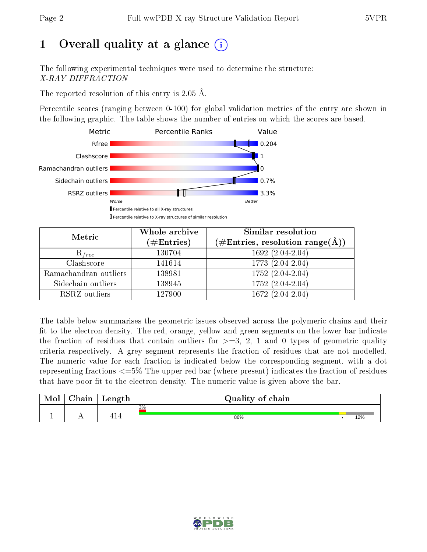# 1 [O](https://www.wwpdb.org/validation/2017/XrayValidationReportHelp#overall_quality)verall quality at a glance  $(i)$

The following experimental techniques were used to determine the structure: X-RAY DIFFRACTION

The reported resolution of this entry is 2.05 Å.

Percentile scores (ranging between 0-100) for global validation metrics of the entry are shown in the following graphic. The table shows the number of entries on which the scores are based.



| Metric                | Whole archive<br>$(\#\text{Entries})$ | Similar resolution<br>$(\#\text{Entries}, \text{resolution range}(\text{\AA}))$ |
|-----------------------|---------------------------------------|---------------------------------------------------------------------------------|
| $R_{free}$            | 130704                                | $1692(2.04-2.04)$                                                               |
| Clashscore            | 141614                                | 1773 (2.04-2.04)                                                                |
| Ramachandran outliers | 138981                                | $1752(2.04-2.04)$                                                               |
| Sidechain outliers    | 138945                                | 1752 (2.04-2.04)                                                                |
| RSRZ outliers         | 127900                                | $1672(2.04-2.04)$                                                               |

The table below summarises the geometric issues observed across the polymeric chains and their fit to the electron density. The red, orange, yellow and green segments on the lower bar indicate the fraction of residues that contain outliers for  $>=3, 2, 1$  and 0 types of geometric quality criteria respectively. A grey segment represents the fraction of residues that are not modelled. The numeric value for each fraction is indicated below the corresponding segment, with a dot representing fractions  $\epsilon=5\%$  The upper red bar (where present) indicates the fraction of residues that have poor fit to the electron density. The numeric value is given above the bar.

| Mol | $\cap$ hain | Length             | Quality of chain |     |
|-----|-------------|--------------------|------------------|-----|
|     |             |                    | 3%               |     |
|     |             | $\mathbf 1$<br>-15 | 86%              | 12% |

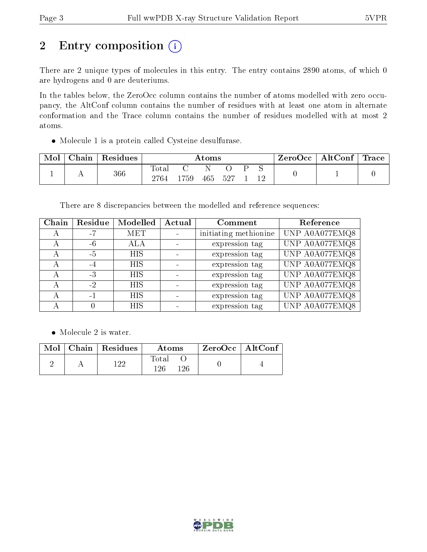# 2 Entry composition (i)

There are 2 unique types of molecules in this entry. The entry contains 2890 atoms, of which 0 are hydrogens and 0 are deuteriums.

In the tables below, the ZeroOcc column contains the number of atoms modelled with zero occupancy, the AltConf column contains the number of residues with at least one atom in alternate conformation and the Trace column contains the number of residues modelled with at most 2 atoms.

Molecule 1 is a protein called Cysteine desulfurase.

| Mol | ${\rm Chain}$ | Residues | Atoms         |      |         |  | $\text{ZeroOcc}$   AltConf   Trace |  |  |  |
|-----|---------------|----------|---------------|------|---------|--|------------------------------------|--|--|--|
|     |               | $366\,$  | Total<br>2764 | 1759 | 465 527 |  |                                    |  |  |  |

There are 8 discrepancies between the modelled and reference sequences:

| Chain | Residue | Modelled   | Actual | Comment               | Reference      |
|-------|---------|------------|--------|-----------------------|----------------|
|       | -7      | <b>MET</b> |        | initiating methionine | UNP A0A077EMQ8 |
|       | -6      | ALA        |        | expression tag        | UNP A0A077EMQ8 |
|       | -5      | HIS        |        | expression tag        | UNP A0A077EMQ8 |
|       | $-4$    | <b>HIS</b> |        | expression tag        | UNP A0A077EMQ8 |
|       | $-3$    | <b>HIS</b> |        | expression tag        | UNP A0A077EMQ8 |
|       | $-2$    | <b>HIS</b> |        | expression tag        | UNP A0A077EMQ8 |
|       | -1      | <b>HIS</b> |        | expression tag        | UNP A0A077EMQ8 |
|       |         | <b>HIS</b> |        | expression tag        | UNP A0A077EMQ8 |

• Molecule 2 is water.

|  | Mol   Chain   Residues | Atoms               | $ZeroOcc \   \$ AltConf |
|--|------------------------|---------------------|-------------------------|
|  | 1 ດດ                   | Total<br>126<br>126 |                         |

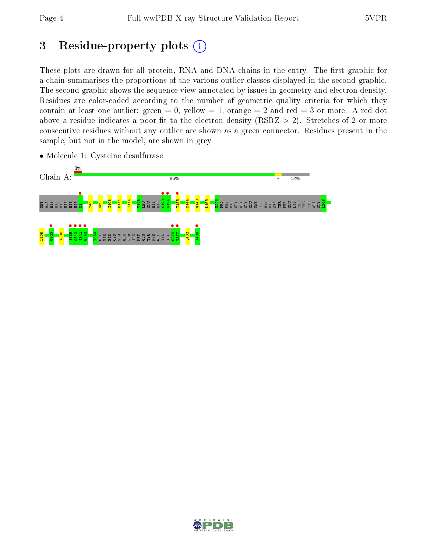# 3 Residue-property plots  $(i)$

These plots are drawn for all protein, RNA and DNA chains in the entry. The first graphic for a chain summarises the proportions of the various outlier classes displayed in the second graphic. The second graphic shows the sequence view annotated by issues in geometry and electron density. Residues are color-coded according to the number of geometric quality criteria for which they contain at least one outlier: green  $= 0$ , yellow  $= 1$ , orange  $= 2$  and red  $= 3$  or more. A red dot above a residue indicates a poor fit to the electron density (RSRZ  $> 2$ ). Stretches of 2 or more consecutive residues without any outlier are shown as a green connector. Residues present in the sample, but not in the model, are shown in grey.



• Molecule 1: Cysteine desulfurase

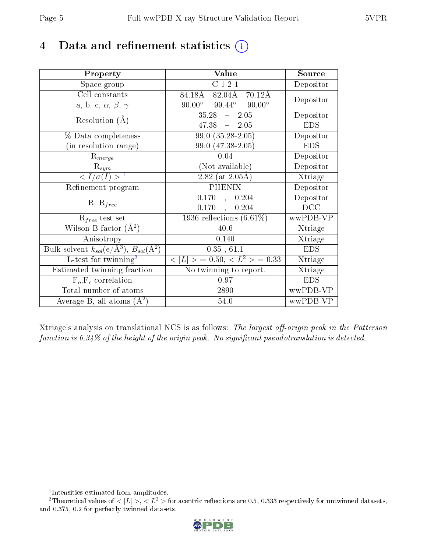## 4 Data and refinement statistics  $(i)$

| Property                                                                | Value                                               | Source     |  |
|-------------------------------------------------------------------------|-----------------------------------------------------|------------|--|
| Space group                                                             | C121                                                | Depositor  |  |
| Cell constants                                                          | 84.18Å<br>82.04Å<br>$70.12\text{\AA}$               |            |  |
| a, b, c, $\alpha$ , $\beta$ , $\gamma$                                  | $90.00^\circ$<br>$90.00^{\circ}$<br>$99.44^{\circ}$ | Depositor  |  |
| Resolution $(A)$                                                        | $35.28 - 2.05$                                      | Depositor  |  |
|                                                                         | 47.38<br>$-2.05$                                    | <b>EDS</b> |  |
| % Data completeness                                                     | $99.0(35.28-2.05)$                                  | Depositor  |  |
| (in resolution range)                                                   | 99.0 (47.38-2.05)                                   | <b>EDS</b> |  |
| $R_{merge}$                                                             | 0.04                                                | Depositor  |  |
| $\mathrm{R}_{sym}$                                                      | (Not available)                                     | Depositor  |  |
| $\langle I/\sigma(I) \rangle^{-1}$                                      | $2.82$ (at $2.05\text{\AA}$ )                       | Xtriage    |  |
| Refinement program                                                      | <b>PHENIX</b>                                       | Depositor  |  |
|                                                                         | 0.170, 0.204                                        | Depositor  |  |
| $R, R_{free}$                                                           | 0.170,<br>0.204                                     | DCC        |  |
| $\mathcal{R}_{free}$ test set                                           | 1936 reflections $(6.61\%)$                         | wwPDB-VP   |  |
| Wilson B-factor $(A^2)$                                                 | 40.6                                                | Xtriage    |  |
| Anisotropy                                                              | 0.140                                               | Xtriage    |  |
| Bulk solvent $k_{sol}(\mathrm{e}/\mathrm{A}^3),\,B_{sol}(\mathrm{A}^2)$ | 0.35, 61.1                                          | <b>EDS</b> |  |
| L-test for twinning <sup>2</sup>                                        | $< L >$ = 0.50, $< L^2 >$ = 0.33                    | Xtriage    |  |
| Estimated twinning fraction                                             | No twinning to report.                              | Xtriage    |  |
| $F_o, F_c$ correlation                                                  | 0.97                                                | <b>EDS</b> |  |
| Total number of atoms                                                   | 2890                                                | wwPDB-VP   |  |
| Average B, all atoms $(A^2)$                                            | 54.0                                                | wwPDB-VP   |  |

Xtriage's analysis on translational NCS is as follows: The largest off-origin peak in the Patterson function is  $6.34\%$  of the height of the origin peak. No significant pseudotranslation is detected.

<sup>&</sup>lt;sup>2</sup>Theoretical values of  $\langle |L| \rangle$ ,  $\langle L^2 \rangle$  for acentric reflections are 0.5, 0.333 respectively for untwinned datasets, and 0.375, 0.2 for perfectly twinned datasets.



<span id="page-4-1"></span><span id="page-4-0"></span><sup>1</sup> Intensities estimated from amplitudes.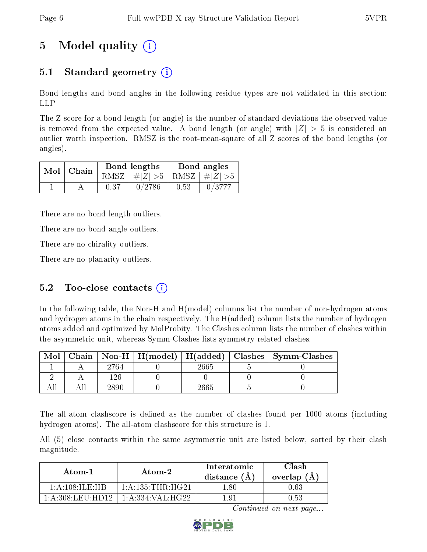# 5 Model quality  $(i)$

## 5.1 Standard geometry (i)

Bond lengths and bond angles in the following residue types are not validated in this section: LLP

The Z score for a bond length (or angle) is the number of standard deviations the observed value is removed from the expected value. A bond length (or angle) with  $|Z| > 5$  is considered an outlier worth inspection. RMSZ is the root-mean-square of all Z scores of the bond lengths (or angles).

|  | $Mol$   Chain |      | Bond lengths                    | Bond angles |        |  |
|--|---------------|------|---------------------------------|-------------|--------|--|
|  |               |      | RMSZ $ #Z  > 5$ RMSZ $ #Z  > 5$ |             |        |  |
|  |               | 0.37 | 0/2786                          | 0.53        | 0/3777 |  |

There are no bond length outliers.

There are no bond angle outliers.

There are no chirality outliers.

There are no planarity outliers.

### 5.2 Too-close contacts  $(i)$

In the following table, the Non-H and H(model) columns list the number of non-hydrogen atoms and hydrogen atoms in the chain respectively. The H(added) column lists the number of hydrogen atoms added and optimized by MolProbity. The Clashes column lists the number of clashes within the asymmetric unit, whereas Symm-Clashes lists symmetry related clashes.

| Mol |      |       | Chain   Non-H   H(model)   H(added)   Clashes   Symm-Clashes |
|-----|------|-------|--------------------------------------------------------------|
|     | 2764 | 2665  |                                                              |
|     |      |       |                                                              |
|     | 2890 | 2665. |                                                              |

The all-atom clashscore is defined as the number of clashes found per 1000 atoms (including hydrogen atoms). The all-atom clashscore for this structure is 1.

All (5) close contacts within the same asymmetric unit are listed below, sorted by their clash magnitude.

| Atom-1                      | Atom-2               | Interatomic<br>distance $(A)$ | Clash<br>overlap $(A)$ |  |
|-----------------------------|----------------------|-------------------------------|------------------------|--|
| 1: A: 108: ILE: HR          | 1: A: 135: THR: HG21 | -80                           | 0.63                   |  |
| $1:$ A $:308:$ LEU $:$ HD12 | 1:A:334:VAL:HG22     | 1 Q 1                         | 0.53                   |  |

Continued on next page...

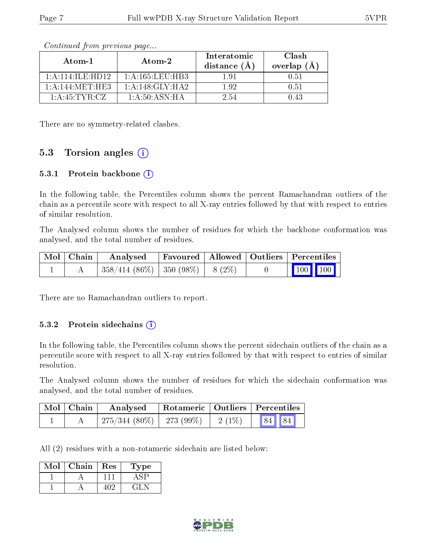| Atom-1             | $Atom-2$           | Interatomic<br>distance $(\AA)$ | Clash<br>overlap $(A)$ |
|--------------------|--------------------|---------------------------------|------------------------|
| 1: A:114: ILE:HD12 | $1:$ A:165:LEU:HB3 | 191                             | 0.51                   |
| 1:A:144:MET:HE3    | 1: A:148: GLY:HA2  | 192                             | 0.51                   |
| $1:$ A:45:TYR:CZ   | 1: A:50: ASN: HA   | 2.54                            | 1 43                   |

Continued from previous page...

There are no symmetry-related clashes.

### 5.3 Torsion angles  $(i)$

#### 5.3.1 Protein backbone (i)

In the following table, the Percentiles column shows the percent Ramachandran outliers of the chain as a percentile score with respect to all X-ray entries followed by that with respect to entries of similar resolution.

The Analysed column shows the number of residues for which the backbone conformation was analysed, and the total number of residues.

| Mol   Chain | Analysed   Favoured   Allowed   Outliers   Percentiles |  |  |                                                            |
|-------------|--------------------------------------------------------|--|--|------------------------------------------------------------|
|             | $\mid$ 358/414 (86%)   350 (98%)   8 (2%)              |  |  | $\begin{array}{ c c c c }\n\hline\n100 & 100\n\end{array}$ |

There are no Ramachandran outliers to report.

#### 5.3.2 Protein sidechains  $(i)$

In the following table, the Percentiles column shows the percent sidechain outliers of the chain as a percentile score with respect to all X-ray entries followed by that with respect to entries of similar resolution.

The Analysed column shows the number of residues for which the sidechain conformation was analysed, and the total number of residues.

| $\mid$ Mol $\mid$ Chain $\mid$ | Analysed                     |           | Rotameric   Outliers   Percentiles |  |
|--------------------------------|------------------------------|-----------|------------------------------------|--|
|                                | $275/344(80\%)$   273 (99\%) | $-2(1\%)$ | $\boxed{84}$ 84                    |  |

All (2) residues with a non-rotameric sidechain are listed below:

| Mol | Chain | $\operatorname{Res}$ | 'Type |
|-----|-------|----------------------|-------|
|     |       |                      |       |
|     |       |                      | -21 - |

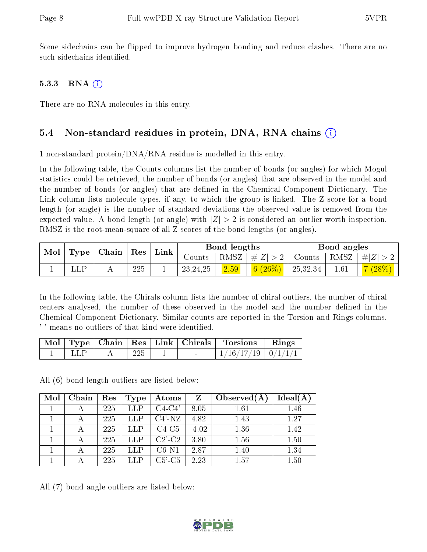Some sidechains can be flipped to improve hydrogen bonding and reduce clashes. There are no such sidechains identified.

#### 5.3.3 RNA  $(i)$

There are no RNA molecules in this entry.

#### 5.4 Non-standard residues in protein, DNA, RNA chains (i)

1 non-standard protein/DNA/RNA residue is modelled in this entry.

In the following table, the Counts columns list the number of bonds (or angles) for which Mogul statistics could be retrieved, the number of bonds (or angles) that are observed in the model and the number of bonds (or angles) that are defined in the Chemical Component Dictionary. The Link column lists molecule types, if any, to which the group is linked. The Z score for a bond length (or angle) is the number of standard deviations the observed value is removed from the expected value. A bond length (or angle) with  $|Z| > 2$  is considered an outlier worth inspection. RMSZ is the root-mean-square of all Z scores of the bond lengths (or angles).

| $\blacksquare$ Mol $\vert$ Type $\vert$ Chain $\vert$ Res $\vert$ |  |     | $\mid$ Link |           | Bond lengths |                                 |                                                                              | Bond angles |                            |
|-------------------------------------------------------------------|--|-----|-------------|-----------|--------------|---------------------------------|------------------------------------------------------------------------------|-------------|----------------------------|
|                                                                   |  |     |             | Counts    |              |                                 | $\mid$ RMSZ $\mid \#  Z  > 2 \mid$ Counts $\mid$ RMSZ $\mid \#  Z  > 2 \mid$ |             |                            |
|                                                                   |  | 225 |             | 123,24,25 | 2.59         | $\frac{1}{6}$ (26\%)   25,32,34 |                                                                              | 1.61        | $\mid$ $7 \ (28\%) \ \mid$ |

In the following table, the Chirals column lists the number of chiral outliers, the number of chiral centers analysed, the number of these observed in the model and the number defined in the Chemical Component Dictionary. Similar counts are reported in the Torsion and Rings columns. '-' means no outliers of that kind were identified.

| Mol |      |     | $\top$ Type   Chain   Res   Link   Chirals | Torsions                 | Rings |
|-----|------|-----|--------------------------------------------|--------------------------|-------|
|     | 1.LP | 225 | $\overline{\phantom{0}}$                   | $1/16/17/19$   $0/1/1/1$ |       |

All (6) bond length outliers are listed below:

| Mol | Chain | Res | Type        | $\boldsymbol{\mathrm{Atoms}}$ | Z       | Observed $(A)$ | $Ideal(\AA)$ |
|-----|-------|-----|-------------|-------------------------------|---------|----------------|--------------|
|     |       | 225 | LLP         | $C4-C4'$                      | 8.05    | 1.61           | 1.46         |
|     |       | 225 | LLP         | $C4'$ -NZ                     | 4.82    | 1.43           | 1.27         |
|     |       | 225 | ${\rm LLP}$ | $C4-C5$                       | $-4.02$ | 1.36           | 1.42         |
|     |       | 225 | ${\rm LLP}$ | $C2$ <sup>-</sup> $C2$        | 3.80    | 1.56           | 1.50         |
|     |       | 225 | ${\rm LLP}$ | $C6-N1$                       | 2.87    | 1.40           | 1.34         |
|     |       | 225 | LLP         | $C5$ '- $C5$                  | 2.23    | 1.57           | 1.50         |

All (7) bond angle outliers are listed below:

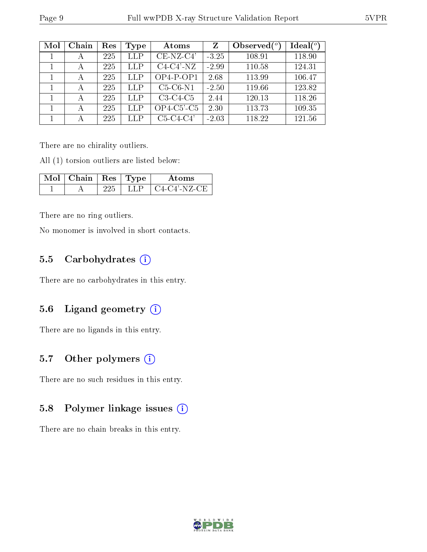| Mol | Chain | Res | Type       | Atoms         | Z       | Observed $(°)$ | Ideal(°) |
|-----|-------|-----|------------|---------------|---------|----------------|----------|
|     | А     | 225 | LLP        | $CE-NZ-C4'$   | $-3.25$ | 108.91         | 118.90   |
|     | А     | 225 | LLP        | $C4-C4'$ -NZ  | $-2.99$ | 110.58         | 124.31   |
|     | А     | 225 | <b>LLP</b> | $OP4-P-OP1$   | 2.68    | 113.99         | 106.47   |
|     | А     | 225 | LLP        | $C5-C6-N1$    | $-2.50$ | 119.66         | 123.82   |
|     | А     | 225 | LLP        | $C3-C4-C5$    | 2.44    | 120.13         | 118.26   |
|     | А     | 225 | LLP        | $OP4-C5'$ -C5 | 2.30    | 113.73         | 109.35   |
|     | А     | 225 | LLP        | $C5-C4-C4'$   | $-2.03$ | 118.22         | 121.56   |

There are no chirality outliers.

All (1) torsion outliers are listed below:

| $\text{Mol}$   Chain   Res   Type ' |  | Atoms          |
|-------------------------------------|--|----------------|
|                                     |  | + C4-C4'-NZ-CE |

There are no ring outliers.

No monomer is involved in short contacts.

### 5.5 Carbohydrates  $(i)$

There are no carbohydrates in this entry.

#### 5.6 Ligand geometry (i)

There are no ligands in this entry.

### 5.7 [O](https://www.wwpdb.org/validation/2017/XrayValidationReportHelp#nonstandard_residues_and_ligands)ther polymers (i)

There are no such residues in this entry.

#### 5.8 Polymer linkage issues (i)

There are no chain breaks in this entry.

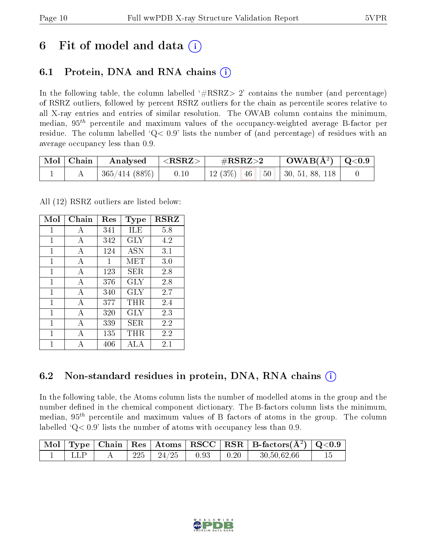## 6 Fit of model and data  $\left( \cdot \right)$

## 6.1 Protein, DNA and RNA chains (i)

In the following table, the column labelled  $#RSRZ>2'$  contains the number (and percentage) of RSRZ outliers, followed by percent RSRZ outliers for the chain as percentile scores relative to all X-ray entries and entries of similar resolution. The OWAB column contains the minimum, median,  $95<sup>th</sup>$  percentile and maximum values of the occupancy-weighted average B-factor per residue. The column labelled  $Q< 0.9$  lists the number of (and percentage) of residues with an average occupancy less than 0.9.

| $\mid$ Mol $\mid$ Chain | Analysed      | $ \langle \mathrm{RSRZ}\rangle $ | $\#\mathrm{RSRZ}{>}2$ |  | $\text{OWAB}(\text{A}^2) \mid \text{Q}<0.9$ |                                      |  |
|-------------------------|---------------|----------------------------------|-----------------------|--|---------------------------------------------|--------------------------------------|--|
|                         | 365/414 (88%) | $\vert$ 0.10                     |                       |  |                                             | 12 (3\%)   46   50   30, 51, 88, 118 |  |

All (12) RSRZ outliers are listed below:

| Mol | Chain        | $\operatorname{Res}% \left( \mathcal{N}\right) \equiv\operatorname{Res}(\mathcal{N}_{0},\mathcal{N}_{0})$ | Type | <b>RSRZ</b> |
|-----|--------------|-----------------------------------------------------------------------------------------------------------|------|-------------|
| 1   | A            | 341                                                                                                       | ĦЕ   | 5.8         |
| 1   | A            | 342                                                                                                       | GLY  | 4.2         |
| 1   | A            | 124                                                                                                       | ASN  | 3.1         |
| 1   | А            | 1                                                                                                         | MET  | 3.0         |
| 1   | A            | 123                                                                                                       | SER. | 2.8         |
| 1   | А            | 376                                                                                                       | GLY  | 2.8         |
| 1   | $\mathbf{A}$ | 340                                                                                                       | GLY  | 2.7         |
| 1   | A            | 377                                                                                                       | THR. | 2.4         |
| 1   | A            | 320                                                                                                       | GLY  | 2.3         |
| 1   | А            | 339                                                                                                       | SER. | 2.2         |
| 1   | A            | 135                                                                                                       | THR. | 2.2         |
| 1   |              | 406                                                                                                       | ALA  | 2.1         |

## 6.2 Non-standard residues in protein, DNA, RNA chains  $(i)$

In the following table, the Atoms column lists the number of modelled atoms in the group and the number defined in the chemical component dictionary. The B-factors column lists the minimum, median,  $95<sup>th</sup>$  percentile and maximum values of B factors of atoms in the group. The column labelled  $Q < 0.9$ ' lists the number of atoms with occupancy less than 0.9.

|  |     |       |            |                    | $\sqrt{\text{Mol}}$ Type   Chain   Res   Atoms $\sqrt{\text{RSCC}}$   RSR   B-factors( $\AA^2$ )   Q<0.9 |  |
|--|-----|-------|------------|--------------------|----------------------------------------------------------------------------------------------------------|--|
|  | 225 | 24/25 | $\pm 0.93$ | $\vert 0.20 \vert$ | 30,50,62,66                                                                                              |  |